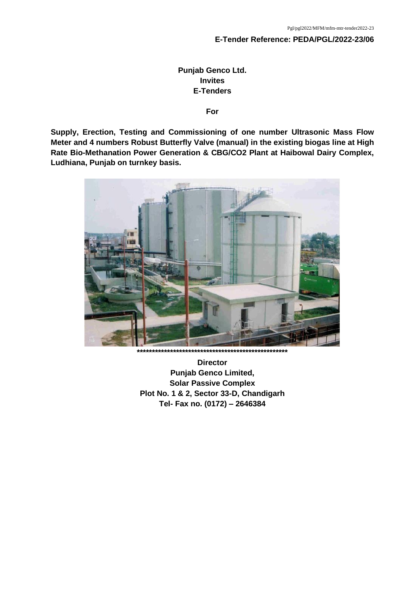#### **E-Tender Reference: PEDA/PGL/2022-23/06**

## **Punjab Genco Ltd. Invites E-Tenders**

#### **For**

**Supply, Erection, Testing and Commissioning of one number Ultrasonic Mass Flow Meter and 4 numbers Robust Butterfly Valve (manual) in the existing biogas line at High Rate Bio-Methanation Power Generation & CBG/CO2 Plant at Haibowal Dairy Complex, Ludhiana, Punjab on turnkey basis.**



**Director Punjab Genco Limited, Solar Passive Complex Plot No. 1 & 2, Sector 33-D, Chandigarh Tel- Fax no. (0172) – 2646384**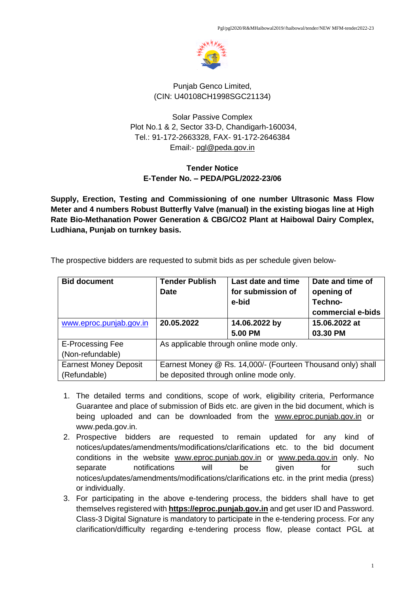

### Punjab Genco Limited, (CIN: U40108CH1998SGC21134)

Solar Passive Complex Plot No.1 & 2, Sector 33-D, Chandigarh-160034, Tel.: 91-172-2663328, FAX- 91-172-2646384 Email:- [pgl@peda.gov.in](mailto:pgl@peda.gov.in)

## **Tender Notice E-Tender No. – PEDA/PGL/2022-23/06**

**Supply, Erection, Testing and Commissioning of one number Ultrasonic Mass Flow Meter and 4 numbers Robust Butterfly Valve (manual) in the existing biogas line at High Rate Bio-Methanation Power Generation & CBG/CO2 Plant at Haibowal Dairy Complex, Ludhiana, Punjab on turnkey basis.** 

| <b>Bid document</b>                          | <b>Tender Publish</b><br><b>Date</b>                                                                  | Last date and time<br>for submission of<br>e-bid | Date and time of<br>opening of<br><b>Techno-</b><br>commercial e-bids |  |
|----------------------------------------------|-------------------------------------------------------------------------------------------------------|--------------------------------------------------|-----------------------------------------------------------------------|--|
| www.eproc.punjab.gov.in                      | 20.05.2022                                                                                            | 14.06.2022 by<br>5.00 PM                         | 15.06.2022 at<br>03.30 PM                                             |  |
| <b>E-Processing Fee</b><br>(Non-refundable)  | As applicable through online mode only.                                                               |                                                  |                                                                       |  |
| <b>Earnest Money Deposit</b><br>(Refundable) | Earnest Money @ Rs. 14,000/- (Fourteen Thousand only) shall<br>be deposited through online mode only. |                                                  |                                                                       |  |

The prospective bidders are requested to submit bids as per schedule given below-

- 1. The detailed terms and conditions, scope of work, eligibility criteria, Performance Guarantee and place of submission of Bids etc. are given in the bid document, which is being uploaded and can be downloaded from the [www.ep](http://www.e/)roc.punjab.gov.in or www.peda.gov.in.
- 2. Prospective bidders are requested to remain updated for any kind of notices/updates/amendments/modifications/clarifications etc. to the bid document conditions in the website [www.ep](http://www.e/)roc.punjab.gov.in or [www.peda.gov.in](http://www.peda.gov.in/) only. No separate notifications will be given for such notices/updates/amendments/modifications/clarifications etc. in the print media (press) or individually.
- 3. For participating in the above e-tendering process, the bidders shall have to get themselves registered with **[https://eproc.punjab.gov.in](https://eproc.punjab.gov.in/)** and get user ID and Password. Class-3 Digital Signature is mandatory to participate in the e-tendering process. For any clarification/difficulty regarding e-tendering process flow, please contact PGL at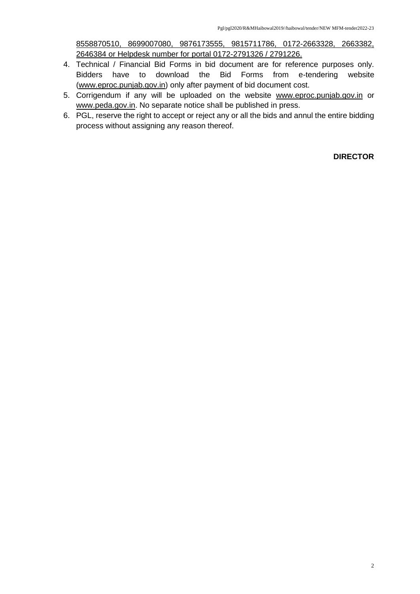8558870510, 8699007080, 9876173555, 9815711786, 0172-2663328, 2663382, 2646384 or Helpdesk number for portal 0172-2791326 / 2791226.

- 4. Technical / Financial Bid Forms in bid document are for reference purposes only. Bidders have to download the Bid Forms from e-tendering website [\(www.ep](http://www.e/)roc.punjab.gov.in) only after payment of bid document cost.
- 5. Corrigendum if any will be uploaded on the website [www.eproc.punjab.gov.in](http://www.eproc.punjab.gov.in/) or [www.peda.gov.in.](http://www.peda.gov.in/) No separate notice shall be published in press.
- 6. PGL, reserve the right to accept or reject any or all the bids and annul the entire bidding process without assigning any reason thereof.

**DIRECTOR**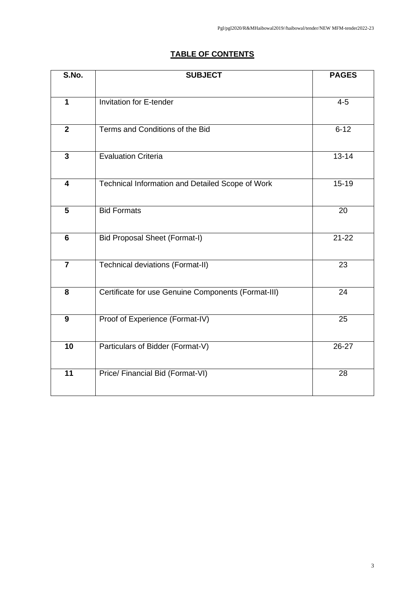# **TABLE OF CONTENTS**

| S.No.                   | <b>SUBJECT</b>                                      | <b>PAGES</b> |
|-------------------------|-----------------------------------------------------|--------------|
|                         |                                                     |              |
| $\mathbf{1}$            | <b>Invitation for E-tender</b>                      | $4-5$        |
| $\overline{2}$          | Terms and Conditions of the Bid                     | $6 - 12$     |
| $\mathbf{3}$            | <b>Evaluation Criteria</b>                          | $13 - 14$    |
| $\overline{\mathbf{4}}$ | Technical Information and Detailed Scope of Work    | $15 - 19$    |
| 5                       | <b>Bid Formats</b>                                  | 20           |
| $6\phantom{1}$          | <b>Bid Proposal Sheet (Format-I)</b>                | $21 - 22$    |
| $\overline{7}$          | Technical deviations (Format-II)                    | 23           |
| 8                       | Certificate for use Genuine Components (Format-III) | 24           |
| 9                       | Proof of Experience (Format-IV)                     | 25           |
| 10                      | Particulars of Bidder (Format-V)                    | 26-27        |
| 11                      | Price/ Financial Bid (Format-VI)                    | 28           |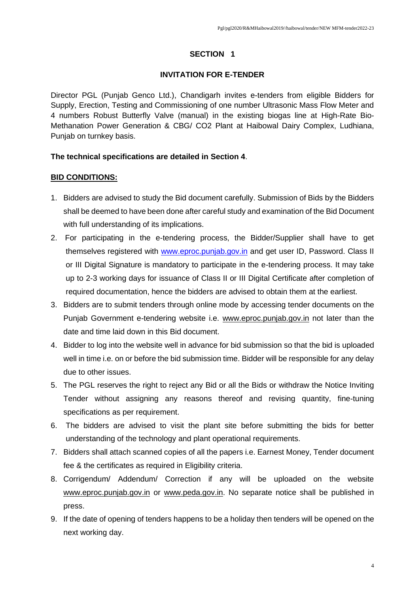### **SECTION 1**

### **INVITATION FOR E-TENDER**

Director PGL (Punjab Genco Ltd.), Chandigarh invites e-tenders from eligible Bidders for Supply, Erection, Testing and Commissioning of one number Ultrasonic Mass Flow Meter and 4 numbers Robust Butterfly Valve (manual) in the existing biogas line at High-Rate Bio-Methanation Power Generation & CBG/ CO2 Plant at Haibowal Dairy Complex, Ludhiana, Punjab on turnkey basis.

### **The technical specifications are detailed in Section 4**.

### **BID CONDITIONS:**

- 1. Bidders are advised to study the Bid document carefully. Submission of Bids by the Bidders shall be deemed to have been done after careful study and examination of the Bid Document with full understanding of its implications.
- 2. For participating in the e-tendering process, the Bidder/Supplier shall have to get themselves registered with [www.ep](http://www.e/)roc.punjab.gov.in and get user ID, Password. Class II or III Digital Signature is mandatory to participate in the e-tendering process. It may take up to 2-3 working days for issuance of Class II or III Digital Certificate after completion of required documentation, hence the bidders are advised to obtain them at the earliest.
- 3. Bidders are to submit tenders through online mode by accessing tender documents on the Punjab Government e-tendering website i.e. [www.eproc.punjab.gov.in](http://www.eproc.punjab.gov.in/) not later than the date and time laid down in this Bid document.
- 4. Bidder to log into the website well in advance for bid submission so that the bid is uploaded well in time i.e. on or before the bid submission time. Bidder will be responsible for any delay due to other issues.
- 5. The PGL reserves the right to reject any Bid or all the Bids or withdraw the Notice Inviting Tender without assigning any reasons thereof and revising quantity, fine-tuning specifications as per requirement.
- 6. The bidders are advised to visit the plant site before submitting the bids for better understanding of the technology and plant operational requirements.
- 7. Bidders shall attach scanned copies of all the papers i.e. Earnest Money, Tender document fee & the certificates as required in Eligibility criteria.
- 8. Corrigendum/ Addendum/ Correction if any will be uploaded on the website [www.eproc.punjab.gov.in](http://www.eproc.punjab.gov.in/) or [www.peda.gov.in.](http://www.peda.gov.in/) No separate notice shall be published in press.
- 9. If the date of opening of tenders happens to be a holiday then tenders will be opened on the next working day.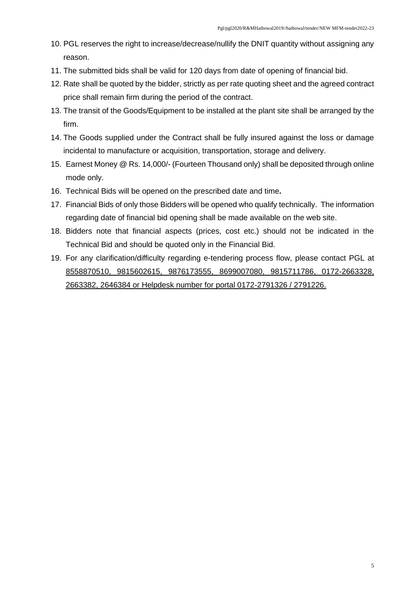- 10. PGL reserves the right to increase/decrease/nullify the DNIT quantity without assigning any reason.
- 11. The submitted bids shall be valid for 120 days from date of opening of financial bid.
- 12. Rate shall be quoted by the bidder, strictly as per rate quoting sheet and the agreed contract price shall remain firm during the period of the contract.
- 13. The transit of the Goods/Equipment to be installed at the plant site shall be arranged by the firm.
- 14. The Goods supplied under the Contract shall be fully insured against the loss or damage incidental to manufacture or acquisition, transportation, storage and delivery.
- 15. Earnest Money @ Rs. 14,000/- (Fourteen Thousand only) shall be deposited through online mode only.
- 16. Technical Bids will be opened on the prescribed date and time**.**
- 17. Financial Bids of only those Bidders will be opened who qualify technically. The information regarding date of financial bid opening shall be made available on the web site.
- 18. Bidders note that financial aspects (prices, cost etc.) should not be indicated in the Technical Bid and should be quoted only in the Financial Bid.
- 19. For any clarification/difficulty regarding e-tendering process flow, please contact PGL at 8558870510, 9815602615, 9876173555, 8699007080, 9815711786, 0172-2663328, 2663382, 2646384 or Helpdesk number for portal 0172-2791326 / 2791226.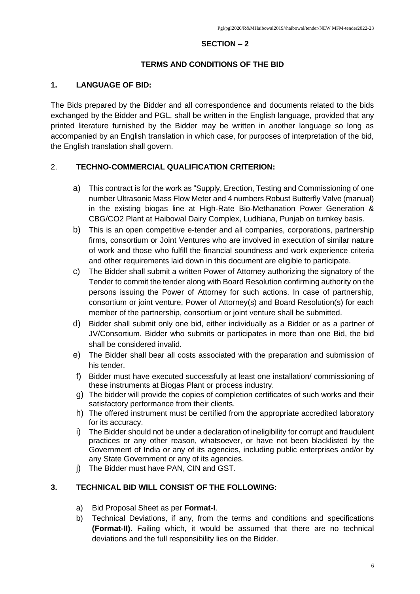### **SECTION – 2**

## **TERMS AND CONDITIONS OF THE BID**

## **1. LANGUAGE OF BID:**

The Bids prepared by the Bidder and all correspondence and documents related to the bids exchanged by the Bidder and PGL, shall be written in the English language, provided that any printed literature furnished by the Bidder may be written in another language so long as accompanied by an English translation in which case, for purposes of interpretation of the bid, the English translation shall govern.

### 2. **TECHNO-COMMERCIAL QUALIFICATION CRITERION:**

- a) This contract is for the work as "Supply, Erection, Testing and Commissioning of one number Ultrasonic Mass Flow Meter and 4 numbers Robust Butterfly Valve (manual) in the existing biogas line at High-Rate Bio-Methanation Power Generation & CBG/CO2 Plant at Haibowal Dairy Complex, Ludhiana, Punjab on turnkey basis.
- b) This is an open competitive e-tender and all companies, corporations, partnership firms, consortium or Joint Ventures who are involved in execution of similar nature of work and those who fulfill the financial soundness and work experience criteria and other requirements laid down in this document are eligible to participate.
- c) The Bidder shall submit a written Power of Attorney authorizing the signatory of the Tender to commit the tender along with Board Resolution confirming authority on the persons issuing the Power of Attorney for such actions. In case of partnership, consortium or joint venture, Power of Attorney(s) and Board Resolution(s) for each member of the partnership, consortium or joint venture shall be submitted.
- d) Bidder shall submit only one bid, either individually as a Bidder or as a partner of JV/Consortium. Bidder who submits or participates in more than one Bid, the bid shall be considered invalid.
- e) The Bidder shall bear all costs associated with the preparation and submission of his tender.
- f) Bidder must have executed successfully at least one installation/ commissioning of these instruments at Biogas Plant or process industry.
- g) The bidder will provide the copies of completion certificates of such works and their satisfactory performance from their clients.
- h) The offered instrument must be certified from the appropriate accredited laboratory for its accuracy.
- i) The Bidder should not be under a declaration of ineligibility for corrupt and fraudulent practices or any other reason, whatsoever, or have not been blacklisted by the Government of India or any of its agencies, including public enterprises and/or by any State Government or any of its agencies.
- j) The Bidder must have PAN, CIN and GST.

### **3. TECHNICAL BID WILL CONSIST OF THE FOLLOWING:**

- a) Bid Proposal Sheet as per **Format-I**.
- b) Technical Deviations, if any, from the terms and conditions and specifications **(Format-II)**. Failing which, it would be assumed that there are no technical deviations and the full responsibility lies on the Bidder.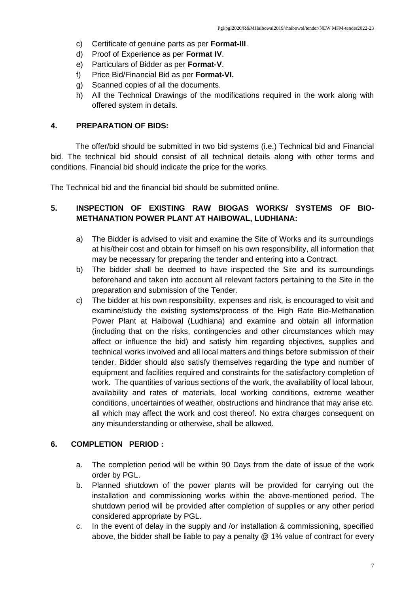- c) Certificate of genuine parts as per **Format-III**.
- d) Proof of Experience as per **Format IV**.
- e) Particulars of Bidder as per **Format-V**.
- f) Price Bid/Financial Bid as per **Format-VI.**
- g) Scanned copies of all the documents.
- h) All the Technical Drawings of the modifications required in the work along with offered system in details.

### **4. PREPARATION OF BIDS:**

The offer/bid should be submitted in two bid systems (i.e.) Technical bid and Financial bid. The technical bid should consist of all technical details along with other terms and conditions. Financial bid should indicate the price for the works.

The Technical bid and the financial bid should be submitted online.

## **5. INSPECTION OF EXISTING RAW BIOGAS WORKS/ SYSTEMS OF BIO-METHANATION POWER PLANT AT HAIBOWAL, LUDHIANA:**

- a) The Bidder is advised to visit and examine the Site of Works and its surroundings at his/their cost and obtain for himself on his own responsibility, all information that may be necessary for preparing the tender and entering into a Contract.
- b) The bidder shall be deemed to have inspected the Site and its surroundings beforehand and taken into account all relevant factors pertaining to the Site in the preparation and submission of the Tender.
- c) The bidder at his own responsibility, expenses and risk, is encouraged to visit and examine/study the existing systems/process of the High Rate Bio-Methanation Power Plant at Haibowal (Ludhiana) and examine and obtain all information (including that on the risks, contingencies and other circumstances which may affect or influence the bid) and satisfy him regarding objectives, supplies and technical works involved and all local matters and things before submission of their tender. Bidder should also satisfy themselves regarding the type and number of equipment and facilities required and constraints for the satisfactory completion of work. The quantities of various sections of the work, the availability of local labour, availability and rates of materials, local working conditions, extreme weather conditions, uncertainties of weather, obstructions and hindrance that may arise etc. all which may affect the work and cost thereof. No extra charges consequent on any misunderstanding or otherwise, shall be allowed.

## **6. COMPLETION PERIOD :**

- a. The completion period will be within 90 Days from the date of issue of the work order by PGL.
- b. Planned shutdown of the power plants will be provided for carrying out the installation and commissioning works within the above-mentioned period. The shutdown period will be provided after completion of supplies or any other period considered appropriate by PGL.
- c. In the event of delay in the supply and /or installation & commissioning, specified above, the bidder shall be liable to pay a penalty @ 1% value of contract for every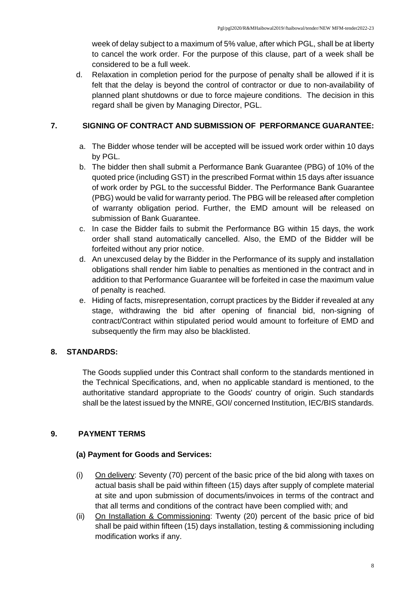week of delay subject to a maximum of 5% value, after which PGL, shall be at liberty to cancel the work order. For the purpose of this clause, part of a week shall be considered to be a full week.

d. Relaxation in completion period for the purpose of penalty shall be allowed if it is felt that the delay is beyond the control of contractor or due to non-availability of planned plant shutdowns or due to force majeure conditions. The decision in this regard shall be given by Managing Director, PGL.

## **7. SIGNING OF CONTRACT AND SUBMISSION OF PERFORMANCE GUARANTEE:**

- a. The Bidder whose tender will be accepted will be issued work order within 10 days by PGL.
- b. The bidder then shall submit a Performance Bank Guarantee (PBG) of 10% of the quoted price (including GST) in the prescribed Format within 15 days after issuance of work order by PGL to the successful Bidder. The Performance Bank Guarantee (PBG) would be valid for warranty period. The PBG will be released after completion of warranty obligation period. Further, the EMD amount will be released on submission of Bank Guarantee.
- c. In case the Bidder fails to submit the Performance BG within 15 days, the work order shall stand automatically cancelled. Also, the EMD of the Bidder will be forfeited without any prior notice.
- d. An unexcused delay by the Bidder in the Performance of its supply and installation obligations shall render him liable to penalties as mentioned in the contract and in addition to that Performance Guarantee will be forfeited in case the maximum value of penalty is reached.
- e. Hiding of facts, misrepresentation, corrupt practices by the Bidder if revealed at any stage, withdrawing the bid after opening of financial bid, non-signing of contract/Contract within stipulated period would amount to forfeiture of EMD and subsequently the firm may also be blacklisted.

## **8. STANDARDS:**

The Goods supplied under this Contract shall conform to the standards mentioned in the Technical Specifications, and, when no applicable standard is mentioned, to the authoritative standard appropriate to the Goods' country of origin. Such standards shall be the latest issued by the MNRE, GOI/ concerned Institution, IEC/BIS standards.

## **9. PAYMENT TERMS**

## **(a) Payment for Goods and Services:**

- (i) On delivery: Seventy (70) percent of the basic price of the bid along with taxes on actual basis shall be paid within fifteen (15) days after supply of complete material at site and upon submission of documents/invoices in terms of the contract and that all terms and conditions of the contract have been complied with; and
- (ii) On Installation & Commissioning: Twenty (20) percent of the basic price of bid shall be paid within fifteen (15) days installation, testing & commissioning including modification works if any.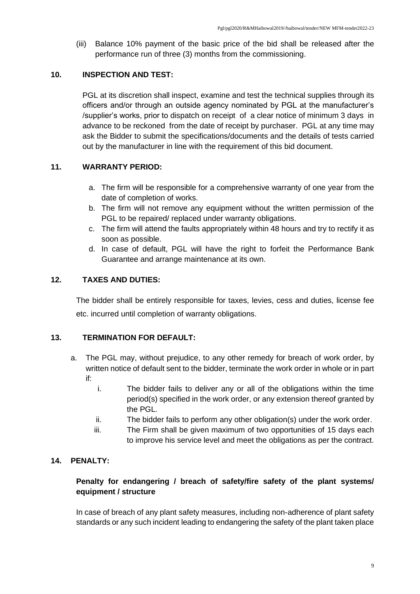(iii) Balance 10% payment of the basic price of the bid shall be released after the performance run of three (3) months from the commissioning.

### **10. INSPECTION AND TEST:**

PGL at its discretion shall inspect, examine and test the technical supplies through its officers and/or through an outside agency nominated by PGL at the manufacturer's /supplier's works, prior to dispatch on receipt of a clear notice of minimum 3 days in advance to be reckoned from the date of receipt by purchaser. PGL at any time may ask the Bidder to submit the specifications/documents and the details of tests carried out by the manufacturer in line with the requirement of this bid document.

### **11. WARRANTY PERIOD:**

- a. The firm will be responsible for a comprehensive warranty of one year from the date of completion of works.
- b. The firm will not remove any equipment without the written permission of the PGL to be repaired/ replaced under warranty obligations.
- c. The firm will attend the faults appropriately within 48 hours and try to rectify it as soon as possible.
- d. In case of default, PGL will have the right to forfeit the Performance Bank Guarantee and arrange maintenance at its own.

### **12. TAXES AND DUTIES:**

The bidder shall be entirely responsible for taxes, levies, cess and duties, license fee etc. incurred until completion of warranty obligations.

### **13. TERMINATION FOR DEFAULT:**

- a. The PGL may, without prejudice, to any other remedy for breach of work order, by written notice of default sent to the bidder, terminate the work order in whole or in part if:
	- i. The bidder fails to deliver any or all of the obligations within the time period(s) specified in the work order, or any extension thereof granted by the PGL.
	- ii. The bidder fails to perform any other obligation(s) under the work order.
	- iii. The Firm shall be given maximum of two opportunities of 15 days each to improve his service level and meet the obligations as per the contract.

## **14. PENALTY:**

## **Penalty for endangering / breach of safety/fire safety of the plant systems/ equipment / structure**

In case of breach of any plant safety measures, including non-adherence of plant safety standards or any such incident leading to endangering the safety of the plant taken place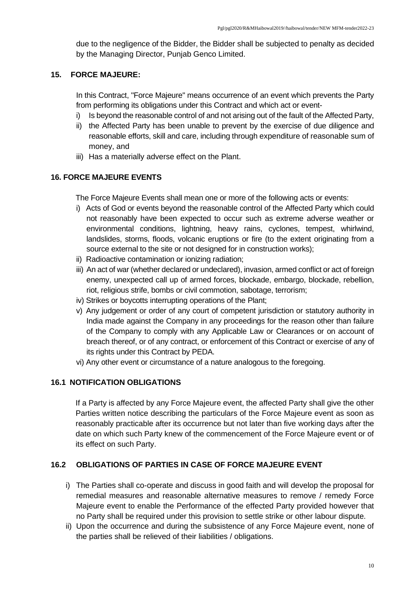due to the negligence of the Bidder, the Bidder shall be subjected to penalty as decided by the Managing Director, Punjab Genco Limited.

## **15. FORCE MAJEURE:**

In this Contract, "Force Majeure" means occurrence of an event which prevents the Party from performing its obligations under this Contract and which act or event-

- i) Is beyond the reasonable control of and not arising out of the fault of the Affected Party,
- ii) the Affected Party has been unable to prevent by the exercise of due diligence and reasonable efforts, skill and care, including through expenditure of reasonable sum of money, and
- iii) Has a materially adverse effect on the Plant.

### **16. FORCE MAJEURE EVENTS**

The Force Majeure Events shall mean one or more of the following acts or events:

- i) Acts of God or events beyond the reasonable control of the Affected Party which could not reasonably have been expected to occur such as extreme adverse weather or environmental conditions, lightning, heavy rains, cyclones, tempest, whirlwind, landslides, storms, floods, volcanic eruptions or fire (to the extent originating from a source external to the site or not designed for in construction works);
- ii) Radioactive contamination or ionizing radiation;
- iii) An act of war (whether declared or undeclared), invasion, armed conflict or act of foreign enemy, unexpected call up of armed forces, blockade, embargo, blockade, rebellion, riot, religious strife, bombs or civil commotion, sabotage, terrorism;
- iv) Strikes or boycotts interrupting operations of the Plant;
- v) Any judgement or order of any court of competent jurisdiction or statutory authority in India made against the Company in any proceedings for the reason other than failure of the Company to comply with any Applicable Law or Clearances or on account of breach thereof, or of any contract, or enforcement of this Contract or exercise of any of its rights under this Contract by PEDA.
- vi) Any other event or circumstance of a nature analogous to the foregoing.

## **16.1 NOTIFICATION OBLIGATIONS**

If a Party is affected by any Force Majeure event, the affected Party shall give the other Parties written notice describing the particulars of the Force Majeure event as soon as reasonably practicable after its occurrence but not later than five working days after the date on which such Party knew of the commencement of the Force Majeure event or of its effect on such Party.

## **16.2 OBLIGATIONS OF PARTIES IN CASE OF FORCE MAJEURE EVENT**

- i) The Parties shall co-operate and discuss in good faith and will develop the proposal for remedial measures and reasonable alternative measures to remove / remedy Force Majeure event to enable the Performance of the effected Party provided however that no Party shall be required under this provision to settle strike or other labour dispute.
- ii) Upon the occurrence and during the subsistence of any Force Majeure event, none of the parties shall be relieved of their liabilities / obligations.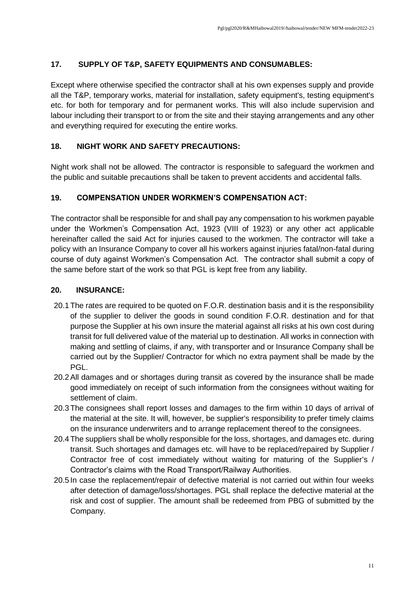## **17. SUPPLY OF T&P, SAFETY EQUIPMENTS AND CONSUMABLES:**

Except where otherwise specified the contractor shall at his own expenses supply and provide all the T&P, temporary works, material for installation, safety equipment's, testing equipment's etc. for both for temporary and for permanent works. This will also include supervision and labour including their transport to or from the site and their staying arrangements and any other and everything required for executing the entire works.

## **18. NIGHT WORK AND SAFETY PRECAUTIONS:**

Night work shall not be allowed. The contractor is responsible to safeguard the workmen and the public and suitable precautions shall be taken to prevent accidents and accidental falls.

## **19. COMPENSATION UNDER WORKMEN'S COMPENSATION ACT:**

The contractor shall be responsible for and shall pay any compensation to his workmen payable under the Workmen's Compensation Act, 1923 (VIII of 1923) or any other act applicable hereinafter called the said Act for injuries caused to the workmen. The contractor will take a policy with an Insurance Company to cover all his workers against injuries fatal/non-fatal during course of duty against Workmen's Compensation Act. The contractor shall submit a copy of the same before start of the work so that PGL is kept free from any liability.

## **20. INSURANCE:**

- 20.1The rates are required to be quoted on F.O.R. destination basis and it is the responsibility of the supplier to deliver the goods in sound condition F.O.R. destination and for that purpose the Supplier at his own insure the material against all risks at his own cost during transit for full delivered value of the material up to destination. All works in connection with making and settling of claims, if any, with transporter and or Insurance Company shall be carried out by the Supplier/ Contractor for which no extra payment shall be made by the PGL.
- 20.2All damages and or shortages during transit as covered by the insurance shall be made good immediately on receipt of such information from the consignees without waiting for settlement of claim.
- 20.3The consignees shall report losses and damages to the firm within 10 days of arrival of the material at the site. It will, however, be supplier's responsibility to prefer timely claims on the insurance underwriters and to arrange replacement thereof to the consignees.
- 20.4The suppliers shall be wholly responsible for the loss, shortages, and damages etc. during transit. Such shortages and damages etc. will have to be replaced/repaired by Supplier / Contractor free of cost immediately without waiting for maturing of the Supplier's / Contractor's claims with the Road Transport/Railway Authorities.
- 20.5 In case the replacement/repair of defective material is not carried out within four weeks after detection of damage/loss/shortages. PGL shall replace the defective material at the risk and cost of supplier. The amount shall be redeemed from PBG of submitted by the Company.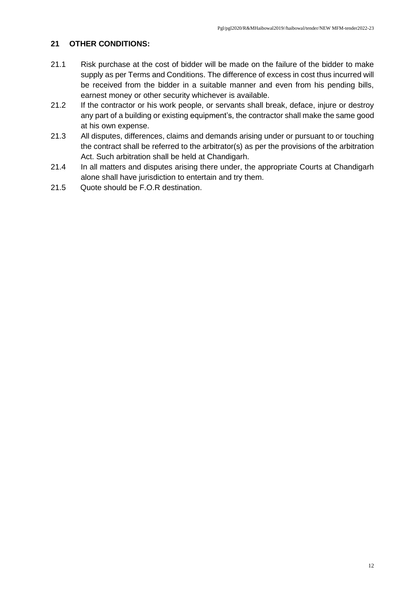## **21 OTHER CONDITIONS:**

- 21.1 Risk purchase at the cost of bidder will be made on the failure of the bidder to make supply as per Terms and Conditions. The difference of excess in cost thus incurred will be received from the bidder in a suitable manner and even from his pending bills, earnest money or other security whichever is available.
- 21.2 If the contractor or his work people, or servants shall break, deface, injure or destroy any part of a building or existing equipment's, the contractor shall make the same good at his own expense.
- 21.3 All disputes, differences, claims and demands arising under or pursuant to or touching the contract shall be referred to the arbitrator(s) as per the provisions of the arbitration Act. Such arbitration shall be held at Chandigarh.
- 21.4 In all matters and disputes arising there under, the appropriate Courts at Chandigarh alone shall have jurisdiction to entertain and try them.
- 21.5 Quote should be F.O.R destination.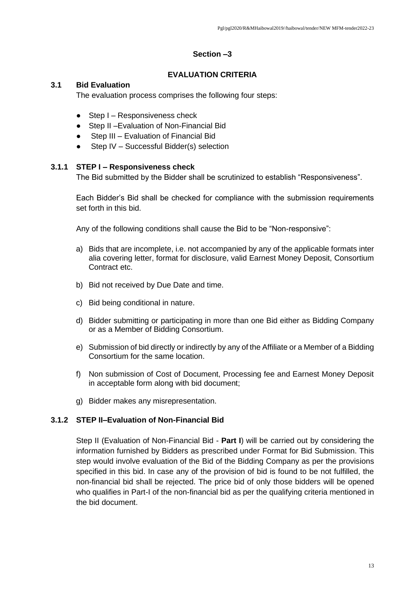### **Section –3**

### **EVALUATION CRITERIA**

### **3.1 Bid Evaluation**

The evaluation process comprises the following four steps:

- $\bullet$  Step I Responsiveness check
- Step II Evaluation of Non-Financial Bid
- Step III Evaluation of Financial Bid
- Step IV Successful Bidder(s) selection

#### **3.1.1 STEP I – Responsiveness check**

The Bid submitted by the Bidder shall be scrutinized to establish "Responsiveness".

Each Bidder's Bid shall be checked for compliance with the submission requirements set forth in this bid.

Any of the following conditions shall cause the Bid to be "Non-responsive":

- a) Bids that are incomplete, i.e. not accompanied by any of the applicable formats inter alia covering letter, format for disclosure, valid Earnest Money Deposit, Consortium Contract etc.
- b) Bid not received by Due Date and time.
- c) Bid being conditional in nature.
- d) Bidder submitting or participating in more than one Bid either as Bidding Company or as a Member of Bidding Consortium.
- e) Submission of bid directly or indirectly by any of the Affiliate or a Member of a Bidding Consortium for the same location.
- f) Non submission of Cost of Document, Processing fee and Earnest Money Deposit in acceptable form along with bid document;
- g) Bidder makes any misrepresentation.

### **3.1.2 STEP II–Evaluation of Non-Financial Bid**

Step II (Evaluation of Non-Financial Bid - **Part I**) will be carried out by considering the information furnished by Bidders as prescribed under Format for Bid Submission. This step would involve evaluation of the Bid of the Bidding Company as per the provisions specified in this bid. In case any of the provision of bid is found to be not fulfilled, the non-financial bid shall be rejected. The price bid of only those bidders will be opened who qualifies in Part-I of the non-financial bid as per the qualifying criteria mentioned in the bid document.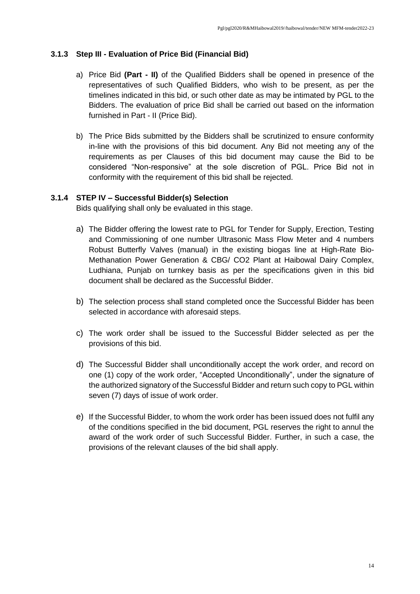### **3.1.3 Step III - Evaluation of Price Bid (Financial Bid)**

- a) Price Bid **(Part - II)** of the Qualified Bidders shall be opened in presence of the representatives of such Qualified Bidders, who wish to be present, as per the timelines indicated in this bid, or such other date as may be intimated by PGL to the Bidders. The evaluation of price Bid shall be carried out based on the information furnished in Part - II (Price Bid).
- b) The Price Bids submitted by the Bidders shall be scrutinized to ensure conformity in-line with the provisions of this bid document. Any Bid not meeting any of the requirements as per Clauses of this bid document may cause the Bid to be considered "Non-responsive" at the sole discretion of PGL. Price Bid not in conformity with the requirement of this bid shall be rejected.

### **3.1.4 STEP IV – Successful Bidder(s) Selection**

Bids qualifying shall only be evaluated in this stage.

- a) The Bidder offering the lowest rate to PGL for Tender for Supply, Erection, Testing and Commissioning of one number Ultrasonic Mass Flow Meter and 4 numbers Robust Butterfly Valves (manual) in the existing biogas line at High-Rate Bio-Methanation Power Generation & CBG/ CO2 Plant at Haibowal Dairy Complex, Ludhiana, Punjab on turnkey basis as per the specifications given in this bid document shall be declared as the Successful Bidder.
- b) The selection process shall stand completed once the Successful Bidder has been selected in accordance with aforesaid steps.
- c) The work order shall be issued to the Successful Bidder selected as per the provisions of this bid.
- d) The Successful Bidder shall unconditionally accept the work order, and record on one (1) copy of the work order, "Accepted Unconditionally", under the signature of the authorized signatory of the Successful Bidder and return such copy to PGL within seven (7) days of issue of work order.
- e) If the Successful Bidder, to whom the work order has been issued does not fulfil any of the conditions specified in the bid document, PGL reserves the right to annul the award of the work order of such Successful Bidder. Further, in such a case, the provisions of the relevant clauses of the bid shall apply.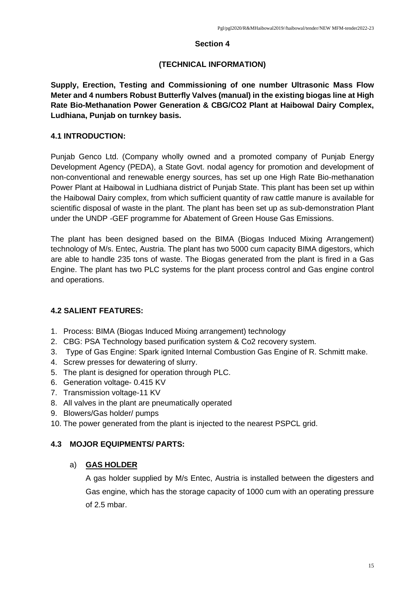### **Section 4**

## **(TECHNICAL INFORMATION)**

**Supply, Erection, Testing and Commissioning of one number Ultrasonic Mass Flow Meter and 4 numbers Robust Butterfly Valves (manual) in the existing biogas line at High Rate Bio-Methanation Power Generation & CBG/CO2 Plant at Haibowal Dairy Complex, Ludhiana, Punjab on turnkey basis.** 

## **4.1 INTRODUCTION:**

Punjab Genco Ltd. (Company wholly owned and a promoted company of Punjab Energy Development Agency (PEDA), a State Govt. nodal agency for promotion and development of non-conventional and renewable energy sources, has set up one High Rate Bio-methanation Power Plant at Haibowal in Ludhiana district of Punjab State. This plant has been set up within the Haibowal Dairy complex, from which sufficient quantity of raw cattle manure is available for scientific disposal of waste in the plant. The plant has been set up as sub-demonstration Plant under the UNDP -GEF programme for Abatement of Green House Gas Emissions.

The plant has been designed based on the BIMA (Biogas Induced Mixing Arrangement) technology of M/s. Entec, Austria. The plant has two 5000 cum capacity BIMA digestors, which are able to handle 235 tons of waste. The Biogas generated from the plant is fired in a Gas Engine. The plant has two PLC systems for the plant process control and Gas engine control and operations.

## **4.2 SALIENT FEATURES:**

- 1. Process: BIMA (Biogas Induced Mixing arrangement) technology
- 2. CBG: PSA Technology based purification system & Co2 recovery system.
- 3. Type of Gas Engine: Spark ignited Internal Combustion Gas Engine of R. Schmitt make.
- 4. Screw presses for dewatering of slurry.
- 5. The plant is designed for operation through PLC.
- 6. Generation voltage- 0.415 KV
- 7. Transmission voltage-11 KV
- 8. All valves in the plant are pneumatically operated
- 9. Blowers/Gas holder/ pumps
- 10. The power generated from the plant is injected to the nearest PSPCL grid.

## **4.3 MOJOR EQUIPMENTS/ PARTS:**

## a) **GAS HOLDER**

A gas holder supplied by M/s Entec, Austria is installed between the digesters and Gas engine, which has the storage capacity of 1000 cum with an operating pressure of 2.5 mbar.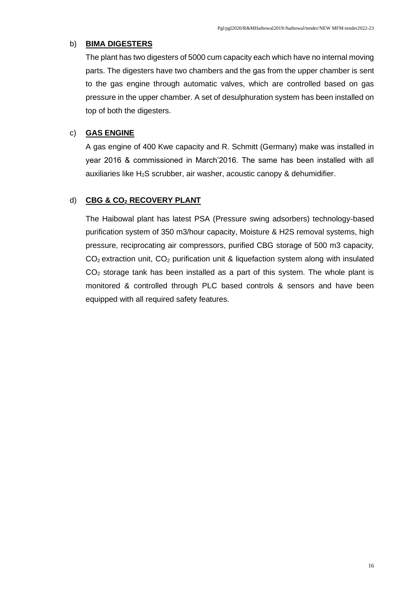#### b) **BIMA DIGESTERS**

The plant has two digesters of 5000 cum capacity each which have no internal moving parts. The digesters have two chambers and the gas from the upper chamber is sent to the gas engine through automatic valves, which are controlled based on gas pressure in the upper chamber. A set of desulphuration system has been installed on top of both the digesters.

### c) **GAS ENGINE**

A gas engine of 400 Kwe capacity and R. Schmitt (Germany) make was installed in year 2016 & commissioned in March'2016. The same has been installed with all auxiliaries like H2S scrubber, air washer, acoustic canopy & dehumidifier.

## d) **CBG & CO<sup>2</sup> RECOVERY PLANT**

The Haibowal plant has latest PSA (Pressure swing adsorbers) technology-based purification system of 350 m3/hour capacity, Moisture & H2S removal systems, high pressure, reciprocating air compressors, purified CBG storage of 500 m3 capacity,  $CO<sub>2</sub>$  extraction unit,  $CO<sub>2</sub>$  purification unit & liquefaction system along with insulated  $CO<sub>2</sub>$  storage tank has been installed as a part of this system. The whole plant is monitored & controlled through PLC based controls & sensors and have been equipped with all required safety features.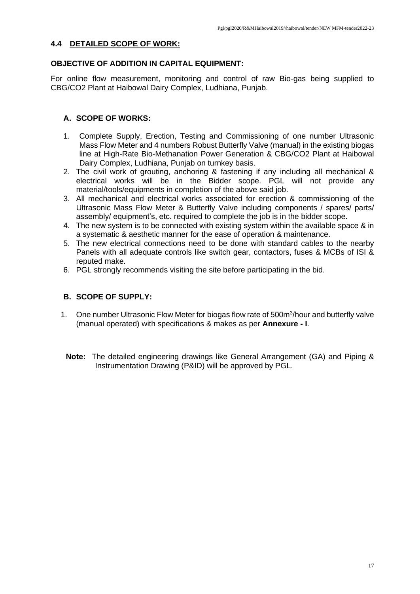### **4.4 DETAILED SCOPE OF WORK:**

## **OBJECTIVE OF ADDITION IN CAPITAL EQUIPMENT:**

For online flow measurement, monitoring and control of raw Bio-gas being supplied to CBG/CO2 Plant at Haibowal Dairy Complex, Ludhiana, Punjab.

## **A. SCOPE OF WORKS:**

- 1. Complete Supply, Erection, Testing and Commissioning of one number Ultrasonic Mass Flow Meter and 4 numbers Robust Butterfly Valve (manual) in the existing biogas line at High-Rate Bio-Methanation Power Generation & CBG/CO2 Plant at Haibowal Dairy Complex, Ludhiana, Punjab on turnkey basis.
- 2. The civil work of grouting, anchoring & fastening if any including all mechanical & electrical works will be in the Bidder scope. PGL will not provide any material/tools/equipments in completion of the above said job.
- 3. All mechanical and electrical works associated for erection & commissioning of the Ultrasonic Mass Flow Meter & Butterfly Valve including components / spares/ parts/ assembly/ equipment's, etc. required to complete the job is in the bidder scope.
- 4. The new system is to be connected with existing system within the available space & in a systematic & aesthetic manner for the ease of operation & maintenance.
- 5. The new electrical connections need to be done with standard cables to the nearby Panels with all adequate controls like switch gear, contactors, fuses & MCBs of ISI & reputed make.
- 6. PGL strongly recommends visiting the site before participating in the bid.

## **B. SCOPE OF SUPPLY:**

- 1. One number Ultrasonic Flow Meter for biogas flow rate of 500m<sup>3</sup>/hour and butterfly valve (manual operated) with specifications & makes as per **Annexure - I**.
- **Note:** The detailed engineering drawings like General Arrangement (GA) and Piping & Instrumentation Drawing (P&ID) will be approved by PGL.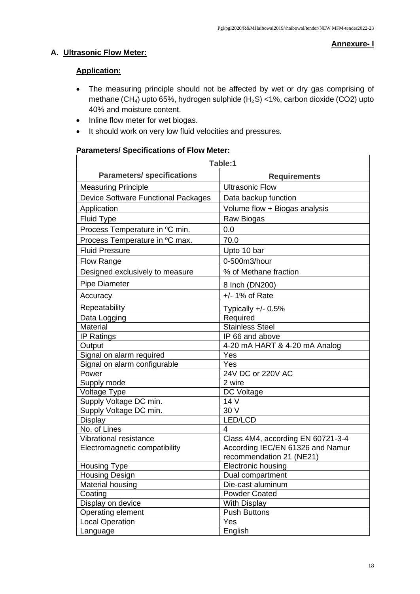## **A. Ultrasonic Flow Meter:**

#### **Annexure- I**

### **Application:**

- The measuring principle should not be affected by wet or dry gas comprising of methane (CH<sub>4</sub>) upto 65%, hydrogen sulphide (H<sub>2</sub>S) <1%, carbon dioxide (CO2) upto 40% and moisture content.
- Inline flow meter for wet biogas.
- It should work on very low fluid velocities and pressures.

#### **Parameters/ Specifications of Flow Meter:**

| Table:1                                    |                                   |  |  |  |
|--------------------------------------------|-----------------------------------|--|--|--|
| <b>Parameters/ specifications</b>          | <b>Requirements</b>               |  |  |  |
| <b>Measuring Principle</b>                 | <b>Ultrasonic Flow</b>            |  |  |  |
| <b>Device Software Functional Packages</b> | Data backup function              |  |  |  |
| Application                                | Volume flow + Biogas analysis     |  |  |  |
| <b>Fluid Type</b>                          | Raw Biogas                        |  |  |  |
| Process Temperature in °C min.             | 0.0                               |  |  |  |
| Process Temperature in °C max.             | 70.0                              |  |  |  |
| <b>Fluid Pressure</b>                      | Upto 10 bar                       |  |  |  |
| Flow Range                                 | 0-500m3/hour                      |  |  |  |
| Designed exclusively to measure            | % of Methane fraction             |  |  |  |
| <b>Pipe Diameter</b>                       | 8 Inch (DN200)                    |  |  |  |
| Accuracy                                   | $+/- 1\%$ of Rate                 |  |  |  |
| Repeatability                              | Typically $+/- 0.5\%$             |  |  |  |
| Data Logging                               | Required                          |  |  |  |
| Material                                   | <b>Stainless Steel</b>            |  |  |  |
| <b>IP Ratings</b>                          | IP 66 and above                   |  |  |  |
| Output                                     | 4-20 mA HART & 4-20 mA Analog     |  |  |  |
| Signal on alarm required                   | Yes                               |  |  |  |
| Signal on alarm configurable               | Yes                               |  |  |  |
| Power                                      | 24V DC or 220V AC                 |  |  |  |
| Supply mode                                | 2 wire                            |  |  |  |
| Voltage Type                               | DC Voltage                        |  |  |  |
| Supply Voltage DC min.                     | 14 V                              |  |  |  |
| Supply Voltage DC min.                     | 30 V                              |  |  |  |
| <b>Display</b>                             | LED/LCD                           |  |  |  |
| No. of Lines                               | 4                                 |  |  |  |
| Vibrational resistance                     | Class 4M4, according EN 60721-3-4 |  |  |  |
| Electromagnetic compatibility              | According IEC/EN 61326 and Namur  |  |  |  |
|                                            | recommendation 21 (NE21)          |  |  |  |
| <b>Housing Type</b>                        | <b>Electronic housing</b>         |  |  |  |
| Housing Design                             | Dual compartment                  |  |  |  |
| Material housing                           | Die-cast aluminum                 |  |  |  |
| Coating                                    | <b>Powder Coated</b>              |  |  |  |
| Display on device                          | <b>With Display</b>               |  |  |  |
| Operating element                          | <b>Push Buttons</b>               |  |  |  |
| Local Operation                            | Yes                               |  |  |  |
| Language                                   | English                           |  |  |  |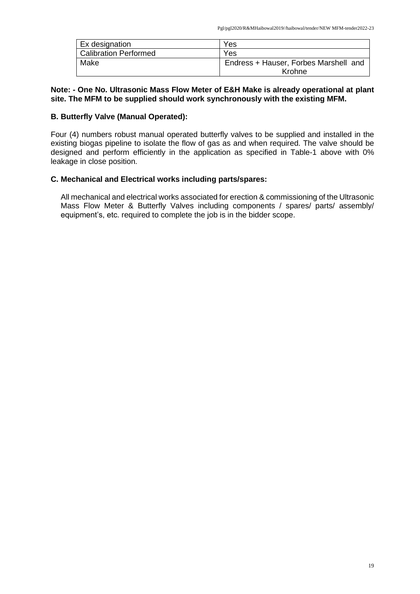| Ex designation               | Yes                                   |
|------------------------------|---------------------------------------|
| <b>Calibration Performed</b> | Yes                                   |
| Make                         | Endress + Hauser, Forbes Marshell and |
|                              | Krohne                                |

#### **Note: - One No. Ultrasonic Mass Flow Meter of E&H Make is already operational at plant site. The MFM to be supplied should work synchronously with the existing MFM.**

### **B. Butterfly Valve (Manual Operated):**

Four (4) numbers robust manual operated butterfly valves to be supplied and installed in the existing biogas pipeline to isolate the flow of gas as and when required. The valve should be designed and perform efficiently in the application as specified in Table-1 above with 0% leakage in close position.

### **C. Mechanical and Electrical works including parts/spares:**

All mechanical and electrical works associated for erection & commissioning of the Ultrasonic Mass Flow Meter & Butterfly Valves including components / spares/ parts/ assembly/ equipment's, etc. required to complete the job is in the bidder scope.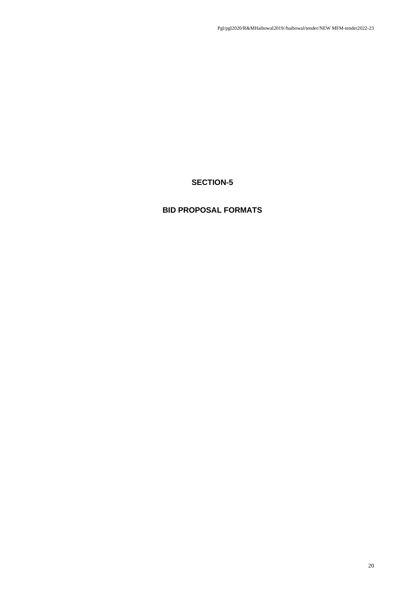# **SECTION-5**

# **BID PROPOSAL FORMATS**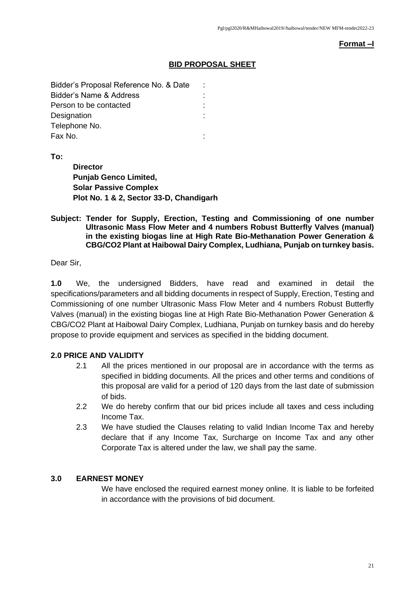#### **Format –I**

### **BID PROPOSAL SHEET**

| Bidder's Proposal Reference No. & Date | t |
|----------------------------------------|---|
| <b>Bidder's Name &amp; Address</b>     |   |
| Person to be contacted                 |   |
| Designation                            |   |
| Telephone No.                          |   |
| Fax No.                                |   |

**To:**

**Director Punjab Genco Limited, Solar Passive Complex Plot No. 1 & 2, Sector 33-D, Chandigarh** 

#### **Subject: Tender for Supply, Erection, Testing and Commissioning of one number Ultrasonic Mass Flow Meter and 4 numbers Robust Butterfly Valves (manual) in the existing biogas line at High Rate Bio-Methanation Power Generation & CBG/CO2 Plant at Haibowal Dairy Complex, Ludhiana, Punjab on turnkey basis.**

Dear Sir,

**1.0** We, the undersigned Bidders, have read and examined in detail the specifications/parameters and all bidding documents in respect of Supply, Erection, Testing and Commissioning of one number Ultrasonic Mass Flow Meter and 4 numbers Robust Butterfly Valves (manual) in the existing biogas line at High Rate Bio-Methanation Power Generation & CBG/CO2 Plant at Haibowal Dairy Complex, Ludhiana, Punjab on turnkey basis and do hereby propose to provide equipment and services as specified in the bidding document.

## **2.0 PRICE AND VALIDITY**

- 2.1 All the prices mentioned in our proposal are in accordance with the terms as specified in bidding documents. All the prices and other terms and conditions of this proposal are valid for a period of 120 days from the last date of submission of bids.
- 2.2 We do hereby confirm that our bid prices include all taxes and cess including Income Tax.
- 2.3 We have studied the Clauses relating to valid Indian Income Tax and hereby declare that if any Income Tax, Surcharge on Income Tax and any other Corporate Tax is altered under the law, we shall pay the same.

### **3.0 EARNEST MONEY**

We have enclosed the required earnest money online. It is liable to be forfeited in accordance with the provisions of bid document.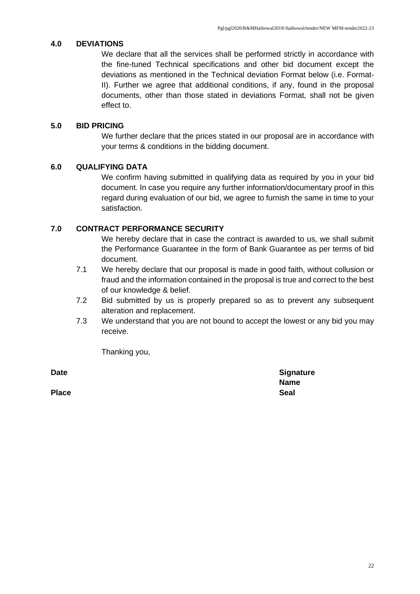### **4.0 DEVIATIONS**

We declare that all the services shall be performed strictly in accordance with the fine-tuned Technical specifications and other bid document except the deviations as mentioned in the Technical deviation Format below (i.e. Format-II). Further we agree that additional conditions, if any, found in the proposal documents, other than those stated in deviations Format, shall not be given effect to.

## **5.0 BID PRICING**

We further declare that the prices stated in our proposal are in accordance with your terms & conditions in the bidding document.

## **6.0 QUALIFYING DATA**

We confirm having submitted in qualifying data as required by you in your bid document. In case you require any further information/documentary proof in this regard during evaluation of our bid, we agree to furnish the same in time to your satisfaction.

## **7.0 CONTRACT PERFORMANCE SECURITY**

We hereby declare that in case the contract is awarded to us, we shall submit the Performance Guarantee in the form of Bank Guarantee as per terms of bid document.

- 7.1 We hereby declare that our proposal is made in good faith, without collusion or fraud and the information contained in the proposal is true and correct to the best of our knowledge & belief.
- 7.2 Bid submitted by us is properly prepared so as to prevent any subsequent alteration and replacement.
- 7.3 We understand that you are not bound to accept the lowest or any bid you may receive.

Thanking you,

**Place Seal**

**Date Signature Signature Name**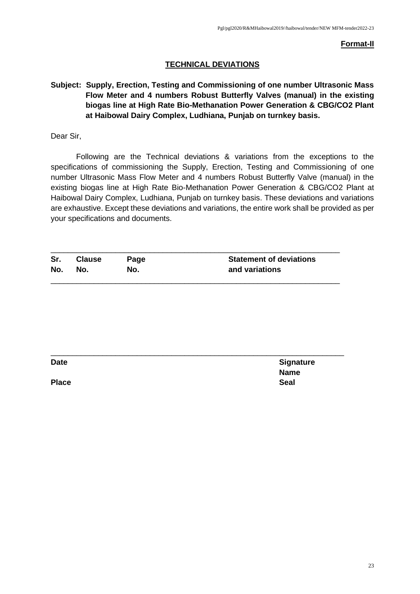**Format-II**

### **TECHNICAL DEVIATIONS**

**Subject: Supply, Erection, Testing and Commissioning of one number Ultrasonic Mass Flow Meter and 4 numbers Robust Butterfly Valves (manual) in the existing biogas line at High Rate Bio-Methanation Power Generation & CBG/CO2 Plant at Haibowal Dairy Complex, Ludhiana, Punjab on turnkey basis.**

Dear Sir,

Following are the Technical deviations & variations from the exceptions to the specifications of commissioning the Supply, Erection, Testing and Commissioning of one number Ultrasonic Mass Flow Meter and 4 numbers Robust Butterfly Valve (manual) in the existing biogas line at High Rate Bio-Methanation Power Generation & CBG/CO2 Plant at Haibowal Dairy Complex, Ludhiana, Punjab on turnkey basis. These deviations and variations are exhaustive. Except these deviations and variations, the entire work shall be provided as per your specifications and documents.

| Sr. | <b>Clause</b> | Page | <b>Statement of deviations</b> |
|-----|---------------|------|--------------------------------|
| No. | No.           | No.  | and variations                 |
|     |               |      |                                |

| <b>Date</b>  | <b>Signature</b> |
|--------------|------------------|
|              | <b>Name</b>      |
| <b>Place</b> | <b>Seal</b>      |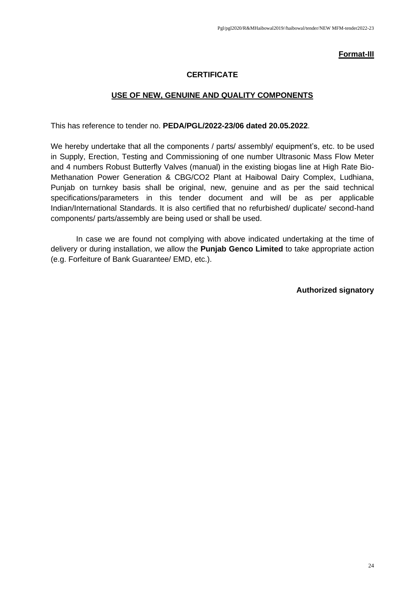#### **Format-III**

### **CERTIFICATE**

#### **USE OF NEW, GENUINE AND QUALITY COMPONENTS**

This has reference to tender no. **PEDA/PGL/2022-23/06 dated 20.05.2022**.

We hereby undertake that all the components / parts/ assembly/ equipment's, etc. to be used in Supply, Erection, Testing and Commissioning of one number Ultrasonic Mass Flow Meter and 4 numbers Robust Butterfly Valves (manual) in the existing biogas line at High Rate Bio-Methanation Power Generation & CBG/CO2 Plant at Haibowal Dairy Complex, Ludhiana, Punjab on turnkey basis shall be original, new, genuine and as per the said technical specifications/parameters in this tender document and will be as per applicable Indian/International Standards. It is also certified that no refurbished/ duplicate/ second-hand components/ parts/assembly are being used or shall be used.

In case we are found not complying with above indicated undertaking at the time of delivery or during installation, we allow the **Punjab Genco Limited** to take appropriate action (e.g. Forfeiture of Bank Guarantee/ EMD, etc.).

**Authorized signatory**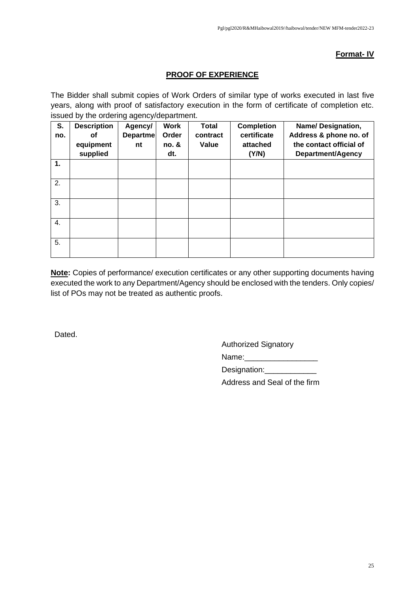### **Format- IV**

## **PROOF OF EXPERIENCE**

The Bidder shall submit copies of Work Orders of similar type of works executed in last five years, along with proof of satisfactory execution in the form of certificate of completion etc. issued by the ordering agency/department.

| S.  | <b>Description</b> | Agency/  | <b>Work</b> | <b>Total</b> | <b>Completion</b> | Name/Designation,        |
|-----|--------------------|----------|-------------|--------------|-------------------|--------------------------|
| no. | οf                 | Departme | Order       | contract     | certificate       | Address & phone no. of   |
|     | equipment          | nt       | no. &       | Value        | attached          | the contact official of  |
|     | supplied           |          | dt.         |              | (Y/N)             | <b>Department/Agency</b> |
| 1.  |                    |          |             |              |                   |                          |
| 2.  |                    |          |             |              |                   |                          |
| 3.  |                    |          |             |              |                   |                          |
| 4.  |                    |          |             |              |                   |                          |
| 5.  |                    |          |             |              |                   |                          |

**Note:** Copies of performance/ execution certificates or any other supporting documents having executed the work to any Department/Agency should be enclosed with the tenders. Only copies/ list of POs may not be treated as authentic proofs.

Dated.

Authorized Signatory

Name:\_\_\_\_\_\_\_\_\_\_\_\_\_\_\_\_\_

Designation:

Address and Seal of the firm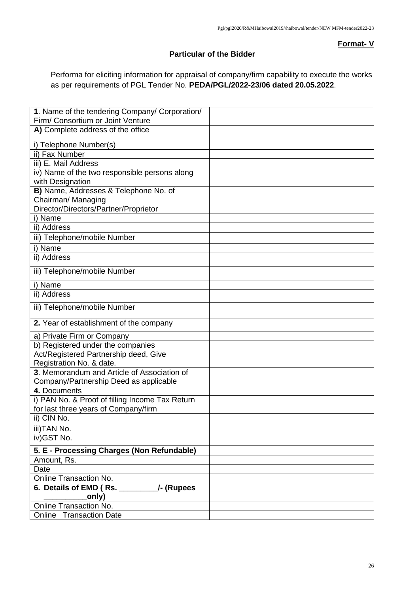### **Format- V**

#### **Particular of the Bidder**

Performa for eliciting information for appraisal of company/firm capability to execute the works as per requirements of PGL Tender No. **PEDA/PGL/2022-23/06 dated 20.05.2022**.

| 1. Name of the tendering Company/ Corporation/         |  |
|--------------------------------------------------------|--|
| Firm/ Consortium or Joint Venture                      |  |
| A) Complete address of the office                      |  |
| i) Telephone Number(s)                                 |  |
| ii) Fax Number                                         |  |
| iii) E. Mail Address                                   |  |
| iv) Name of the two responsible persons along          |  |
| with Designation                                       |  |
| B) Name, Addresses & Telephone No. of                  |  |
| Chairman/ Managing                                     |  |
| Director/Directors/Partner/Proprietor                  |  |
| i) Name                                                |  |
| ii) Address                                            |  |
| iii) Telephone/mobile Number                           |  |
| i) Name                                                |  |
| ii) Address                                            |  |
| iii) Telephone/mobile Number                           |  |
| i) Name                                                |  |
| ii) Address                                            |  |
| iii) Telephone/mobile Number                           |  |
| 2. Year of establishment of the company                |  |
| a) Private Firm or Company                             |  |
| b) Registered under the companies                      |  |
| Act/Registered Partnership deed, Give                  |  |
| Registration No. & date.                               |  |
| 3. Memorandum and Article of Association of            |  |
| Company/Partnership Deed as applicable                 |  |
| 4. Documents                                           |  |
| i) PAN No. & Proof of filling Income Tax Return        |  |
| for last three years of Company/firm                   |  |
| ii) CIN No.                                            |  |
| iii)TAN No.                                            |  |
| iv) GST No.                                            |  |
| 5. E - Processing Charges (Non Refundable)             |  |
| Amount, Rs.                                            |  |
| Date                                                   |  |
| Online Transaction No.                                 |  |
| 6. Details of EMD (Rs. ____________/- (Rupees<br>only) |  |
| Online Transaction No.                                 |  |
| Online Transaction Date                                |  |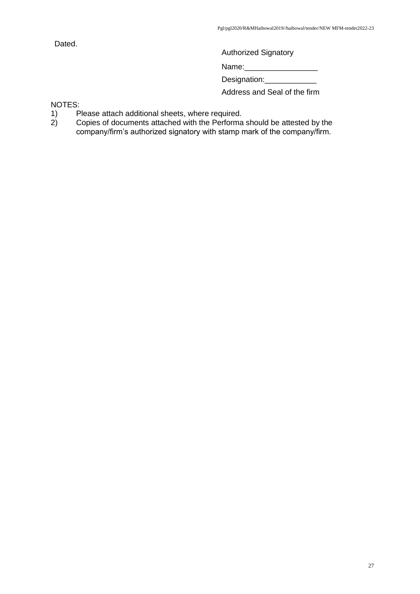Dated.

Authorized Signatory

Name:\_\_\_\_\_\_\_\_\_\_\_\_\_\_\_\_\_

Designation:\_\_\_\_\_\_\_\_\_

Address and Seal of the firm

NOTES:<br>1) P

- 
- 1) Please attach additional sheets, where required.<br>2) Copies of documents attached with the Performa 2) Copies of documents attached with the Performa should be attested by the company/firm's authorized signatory with stamp mark of the company/firm.